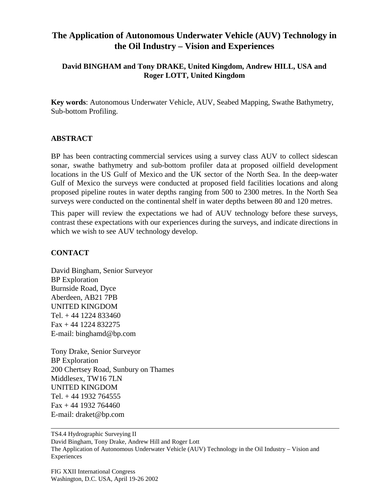## **The Application of Autonomous Underwater Vehicle (AUV) Technology in the Oil Industry – Vision and Experiences**

## **David BINGHAM and Tony DRAKE, United Kingdom, Andrew HILL, USA and Roger LOTT, United Kingdom**

**Key words**: Autonomous Underwater Vehicle, AUV, Seabed Mapping, Swathe Bathymetry, Sub-bottom Profiling.

## **ABSTRACT**

BP has been contracting commercial services using a survey class AUV to collect sidescan sonar, swathe bathymetry and sub-bottom profiler data at proposed oilfield development locations in the US Gulf of Mexico and the UK sector of the North Sea. In the deep-water Gulf of Mexico the surveys were conducted at proposed field facilities locations and along proposed pipeline routes in water depths ranging from 500 to 2300 metres. In the North Sea surveys were conducted on the continental shelf in water depths between 80 and 120 metres.

This paper will review the expectations we had of AUV technology before these surveys, contrast these expectations with our experiences during the surveys, and indicate directions in which we wish to see AUV technology develop.

## **CONTACT**

David Bingham, Senior Surveyor BP Exploration Burnside Road, Dyce Aberdeen, AB21 7PB UNITED KINGDOM Tel. + 44 1224 833460 Fax + 44 1224 832275 E-mail: binghamd@bp.com

Tony Drake, Senior Surveyor BP Exploration 200 Chertsey Road, Sunbury on Thames Middlesex, TW16 7LN UNITED KINGDOM Tel. + 44 1932 764555 Fax + 44 1932 764460 E-mail: draket@bp.com

TS4.4 Hydrographic Surveying II David Bingham, Tony Drake, Andrew Hill and Roger Lott The Application of Autonomous Underwater Vehicle (AUV) Technology in the Oil Industry – Vision and Experiences